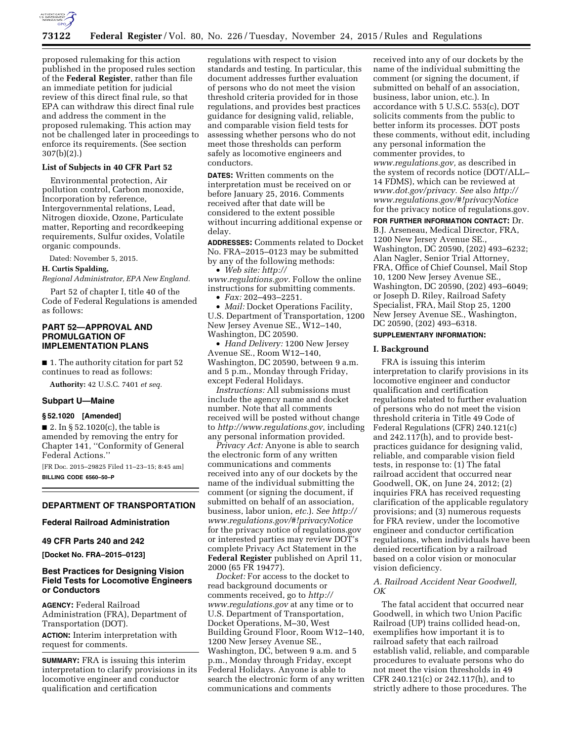

proposed rulemaking for this action published in the proposed rules section of the **Federal Register**, rather than file an immediate petition for judicial review of this direct final rule, so that EPA can withdraw this direct final rule and address the comment in the proposed rulemaking. This action may not be challenged later in proceedings to enforce its requirements. (See section 307(b)(2).)

### **List of Subjects in 40 CFR Part 52**

Environmental protection, Air pollution control, Carbon monoxide, Incorporation by reference, Intergovernmental relations, Lead, Nitrogen dioxide, Ozone, Particulate matter, Reporting and recordkeeping requirements, Sulfur oxides, Volatile organic compounds.

Dated: November 5, 2015.

#### **H. Curtis Spalding,**

*Regional Administrator, EPA New England.* 

Part 52 of chapter I, title 40 of the Code of Federal Regulations is amended as follows:

# **PART 52—APPROVAL AND PROMULGATION OF IMPLEMENTATION PLANS**

■ 1. The authority citation for part 52 continues to read as follows:

**Authority:** 42 U.S.C. 7401 *et seq.* 

### **Subpart U—Maine**

# **§ 52.1020 [Amended]**

 $\blacksquare$  2. In § 52.1020(c), the table is amended by removing the entry for Chapter 141, ''Conformity of General Federal Actions.''

[FR Doc. 2015–29825 Filed 11–23–15; 8:45 am] **BILLING CODE 6560–50–P** 

# **DEPARTMENT OF TRANSPORTATION**

#### **Federal Railroad Administration**

### **49 CFR Parts 240 and 242**

**[Docket No. FRA–2015–0123]** 

## **Best Practices for Designing Vision Field Tests for Locomotive Engineers or Conductors**

**AGENCY:** Federal Railroad Administration (FRA), Department of Transportation (DOT).

**ACTION:** Interim interpretation with request for comments.

**SUMMARY:** FRA is issuing this interim interpretation to clarify provisions in its locomotive engineer and conductor qualification and certification

regulations with respect to vision standards and testing. In particular, this document addresses further evaluation of persons who do not meet the vision threshold criteria provided for in those regulations, and provides best practices guidance for designing valid, reliable, and comparable vision field tests for assessing whether persons who do not meet those thresholds can perform safely as locomotive engineers and conductors.

**DATES:** Written comments on the interpretation must be received on or before January 25, 2016. Comments received after that date will be considered to the extent possible without incurring additional expense or delay.

**ADDRESSES:** Comments related to Docket No. FRA–2015–0123 may be submitted by any of the following methods:

• *Web site: [http://](http://www.regulations.gov)*

*[www.regulations.gov.](http://www.regulations.gov)* Follow the online instructions for submitting comments.

• *Fax:* 202–493–2251.

• *Mail:* Docket Operations Facility, U.S. Department of Transportation, 1200 New Jersey Avenue SE., W12–140, Washington, DC 20590.

• *Hand Delivery:* 1200 New Jersey Avenue SE., Room W12–140, Washington, DC 20590, between 9 a.m. and 5 p.m., Monday through Friday, except Federal Holidays.

*Instructions:* All submissions must include the agency name and docket number. Note that all comments received will be posted without change to *[http://www.regulations.gov,](http://www.regulations.gov)* including any personal information provided.

*Privacy Act:* Anyone is able to search the electronic form of any written communications and comments received into any of our dockets by the name of the individual submitting the comment (or signing the document, if submitted on behalf of an association, business, labor union, *etc.*). *See [http://](http://www.regulations.gov/#!privacyNotice) [www.regulations.gov/#!privacyNotice](http://www.regulations.gov/#!privacyNotice)*  for the privacy notice of regulations.gov or interested parties may review DOT's complete Privacy Act Statement in the **Federal Register** published on April 11, 2000 (65 FR 19477).

*Docket:* For access to the docket to read background documents or comments received, go to *[http://](http://www.regulations.gov) [www.regulations.gov](http://www.regulations.gov)* at any time or to U.S. Department of Transportation, Docket Operations, M–30, West Building Ground Floor, Room W12–140, 1200 New Jersey Avenue SE., Washington, DC, between 9 a.m. and 5 p.m., Monday through Friday, except Federal Holidays. Anyone is able to search the electronic form of any written communications and comments

received into any of our dockets by the name of the individual submitting the comment (or signing the document, if submitted on behalf of an association, business, labor union, etc.). In accordance with 5 U.S.C. 553(c), DOT solicits comments from the public to better inform its processes. DOT posts these comments, without edit, including any personal information the commenter provides, to *[www.regulations.gov,](http://www.regulations.gov)* as described in the system of records notice (DOT/ALL– 14 FDMS), which can be reviewed at *[www.dot.gov/privacy.](http://www.dot.gov/privacy) See* also *[http://](http://www.regulations.gov/#!privacyNotice) [www.regulations.gov/#!privacyNotice](http://www.regulations.gov/#!privacyNotice)*  for the privacy notice of regulations.gov.

**FOR FURTHER INFORMATION CONTACT:** Dr.

B.J. Arseneau, Medical Director, FRA, 1200 New Jersey Avenue SE., Washington, DC 20590, (202) 493–6232; Alan Nagler, Senior Trial Attorney, FRA, Office of Chief Counsel, Mail Stop 10, 1200 New Jersey Avenue SE., Washington, DC 20590, (202) 493–6049; or Joseph D. Riley, Railroad Safety Specialist, FRA, Mail Stop 25, 1200 New Jersey Avenue SE., Washington, DC 20590, (202) 493-6318.

# **SUPPLEMENTARY INFORMATION:**

### **I. Background**

FRA is issuing this interim interpretation to clarify provisions in its locomotive engineer and conductor qualification and certification regulations related to further evaluation of persons who do not meet the vision threshold criteria in Title 49 Code of Federal Regulations (CFR) 240.121(c) and 242.117(h), and to provide bestpractices guidance for designing valid, reliable, and comparable vision field tests, in response to: (1) The fatal railroad accident that occurred near Goodwell, OK, on June 24, 2012; (2) inquiries FRA has received requesting clarification of the applicable regulatory provisions; and (3) numerous requests for FRA review, under the locomotive engineer and conductor certification regulations, when individuals have been denied recertification by a railroad based on a color vision or monocular vision deficiency.

### *A. Railroad Accident Near Goodwell, OK*

The fatal accident that occurred near Goodwell, in which two Union Pacific Railroad (UP) trains collided head-on, exemplifies how important it is to railroad safety that each railroad establish valid, reliable, and comparable procedures to evaluate persons who do not meet the vision thresholds in 49 CFR 240.121(c) or 242.117(h), and to strictly adhere to those procedures. The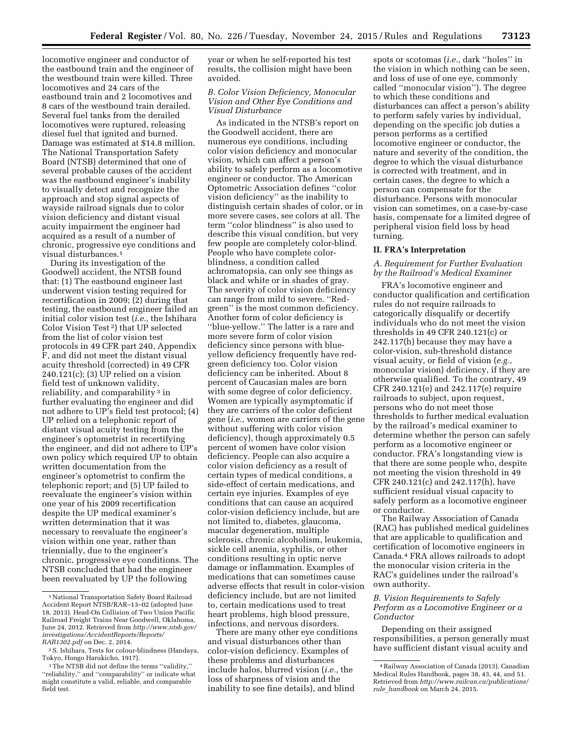locomotive engineer and conductor of the eastbound train and the engineer of the westbound train were killed. Three locomotives and 24 cars of the eastbound train and 2 locomotives and 8 cars of the westbound train derailed. Several fuel tanks from the derailed locomotives were ruptured, releasing diesel fuel that ignited and burned. Damage was estimated at \$14.8 million. The National Transportation Safety Board (NTSB) determined that one of several probable causes of the accident was the eastbound engineer's inability to visually detect and recognize the approach and stop signal aspects of wayside railroad signals due to color vision deficiency and distant visual acuity impairment the engineer had acquired as a result of a number of chronic, progressive eye conditions and visual disturbances.1

During its investigation of the Goodwell accident, the NTSB found that: (1) The eastbound engineer last underwent vision testing required for recertification in 2009; (2) during that testing, the eastbound engineer failed an initial color vision test (*i.e.,* the Ishihara Color Vision Test 2) that UP selected from the list of color vision test protocols in 49 CFR part 240, Appendix F, and did not meet the distant visual acuity threshold (corrected) in 49 CFR 240.121(c); (3) UP relied on a vision field test of unknown validity, reliability, and comparability<sup>3</sup> in further evaluating the engineer and did not adhere to UP's field test protocol; (4) UP relied on a telephonic report of distant visual acuity testing from the engineer's optometrist in recertifying the engineer, and did not adhere to UP's own policy which required UP to obtain written documentation from the engineer's optometrist to confirm the telephonic report; and (5) UP failed to reevaluate the engineer's vision within one year of his 2009 recertification despite the UP medical examiner's written determination that it was necessary to reevaluate the engineer's vision within one year, rather than triennially, due to the engineer's chronic, progressive eye conditions. The NTSB concluded that had the engineer been reevaluated by UP the following

year or when he self-reported his test results, the collision might have been avoided.

## *B. Color Vision Deficiency, Monocular Vision and Other Eye Conditions and Visual Disturbance*

As indicated in the NTSB's report on the Goodwell accident, there are numerous eye conditions, including color vision deficiency and monocular vision, which can affect a person's ability to safely perform as a locomotive engineer or conductor. The American Optometric Association defines ''color vision deficiency'' as the inability to distinguish certain shades of color, or in more severe cases, see colors at all. The term ''color blindness'' is also used to describe this visual condition, but very few people are completely color-blind. People who have complete colorblindness, a condition called achromatopsia, can only see things as black and white or in shades of gray. The severity of color vision deficiency can range from mild to severe. ''Redgreen'' is the most common deficiency. Another form of color deficiency is ''blue-yellow.'' The latter is a rare and more severe form of color vision deficiency since persons with blueyellow deficiency frequently have redgreen deficiency too. Color vision deficiency can be inherited. About 8 percent of Caucasian males are born with some degree of color deficiency. Women are typically asymptomatic if they are carriers of the color deficient gene (*i.e.,* women are carriers of the gene without suffering with color vision deficiency), though approximately 0.5 percent of women have color vision deficiency. People can also acquire a color vision deficiency as a result of certain types of medical conditions, a side-effect of certain medications, and certain eye injuries. Examples of eye conditions that can cause an acquired color-vision deficiency include, but are not limited to, diabetes, glaucoma, macular degeneration, multiple sclerosis, chronic alcoholism, leukemia, sickle cell anemia, syphilis, or other conditions resulting in optic nerve damage or inflammation. Examples of medications that can sometimes cause adverse effects that result in color-vision deficiency include, but are not limited to, certain medications used to treat heart problems, high blood pressure, infections, and nervous disorders.

There are many other eye conditions and visual disturbances other than color-vision deficiency. Examples of these problems and disturbances include halos, blurred vision (*i.e.,* the loss of sharpness of vision and the inability to see fine details), and blind

spots or scotomas (*i.e.,* dark ''holes'' in the vision in which nothing can be seen, and loss of use of one eye, commonly called ''monocular vision''). The degree to which these conditions and disturbances can affect a person's ability to perform safely varies by individual, depending on the specific job duties a person performs as a certified locomotive engineer or conductor, the nature and severity of the condition, the degree to which the visual disturbance is corrected with treatment, and in certain cases, the degree to which a person can compensate for the disturbance. Persons with monocular vision can sometimes, on a case-by-case basis, compensate for a limited degree of peripheral vision field loss by head turning.

### **II. FRA's Interpretation**

## *A. Requirement for Further Evaluation by the Railroad's Medical Examiner*

FRA's locomotive engineer and conductor qualification and certification rules do not require railroads to categorically disqualify or decertify individuals who do not meet the vision thresholds in 49 CFR 240.121(c) or 242.117(h) because they may have a color-vision, sub-threshold distance visual acuity, or field of vision (*e.g.,*  monocular vision) deficiency, if they are otherwise qualified. To the contrary, 49 CFR 240.121(e) and 242.117(e) require railroads to subject, upon request, persons who do not meet those thresholds to further medical evaluation by the railroad's medical examiner to determine whether the person can safely perform as a locomotive engineer or conductor. FRA's longstanding view is that there are some people who, despite not meeting the vision threshold in 49 CFR 240.121(c) and 242.117(h), have sufficient residual visual capacity to safely perform as a locomotive engineer or conductor.

The Railway Association of Canada (RAC) has published medical guidelines that are applicable to qualification and certification of locomotive engineers in Canada.4 FRA allows railroads to adopt the monocular vision criteria in the RAC's guidelines under the railroad's own authority.

## *B. Vision Requirements to Safely Perform as a Locomotive Engineer or a Conductor*

Depending on their assigned responsibilities, a person generally must have sufficient distant visual acuity and

<sup>1</sup>National Transportation Safety Board Railroad Accident Report NTSB/RAR–13–02 (adopted June 18, 2013). Head-On Collision of Two Union Pacific Railroad Freight Trains Near Goodwell, Oklahoma, June 24, 2012. Retrieved from *[http://www.ntsb.gov/](http://www.ntsb.gov/investigations/AccidentReports/Reports/RAR1302.pdf) [investigations/AccidentReports/Reports/](http://www.ntsb.gov/investigations/AccidentReports/Reports/RAR1302.pdf) [RAR1302.pdf](http://www.ntsb.gov/investigations/AccidentReports/Reports/RAR1302.pdf)* on Dec. 2, 2014.

<sup>2</sup>S. Ishihara, Tests for colour-blindness (Handaya, Tokyo, Hongo Harukicho, 1917).

<sup>3</sup>The NTSB did not define the terms ''validity,'' ''reliability,'' and ''comparability'' or indicate what might constitute a valid, reliable, and comparable field test.

<sup>4</sup>Railway Association of Canada (2013), Canadian Medical Rules Handbook, pages 38, 43, 44, and 51. Retrieved from *[http://www.railcan.ca/publications/](http://www.railcan.ca/publications/rule_handbook)  rule*\_*[handbook](http://www.railcan.ca/publications/rule_handbook)* on March 24, 2015.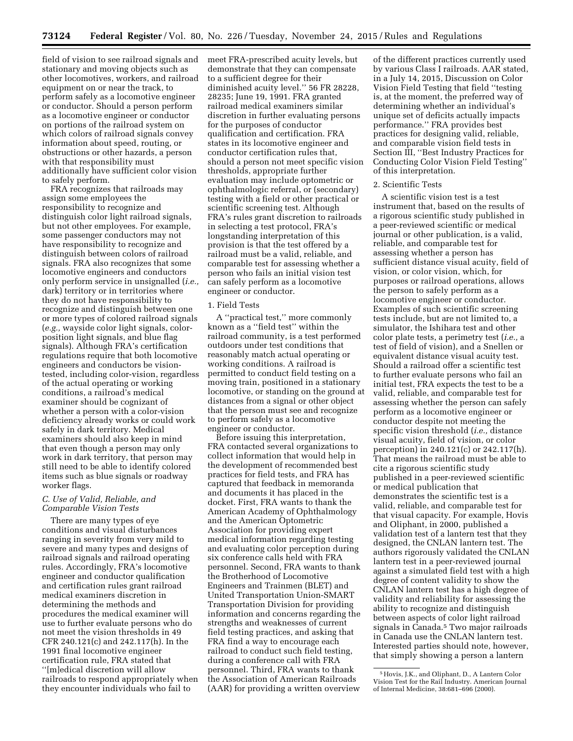field of vision to see railroad signals and stationary and moving objects such as other locomotives, workers, and railroad equipment on or near the track, to perform safely as a locomotive engineer or conductor. Should a person perform as a locomotive engineer or conductor on portions of the railroad system on which colors of railroad signals convey information about speed, routing, or obstructions or other hazards, a person with that responsibility must additionally have sufficient color vision to safely perform.

FRA recognizes that railroads may assign some employees the responsibility to recognize and distinguish color light railroad signals, but not other employees. For example, some passenger conductors may not have responsibility to recognize and distinguish between colors of railroad signals. FRA also recognizes that some locomotive engineers and conductors only perform service in unsignalled (*i.e.,*  dark) territory or in territories where they do not have responsibility to recognize and distinguish between one or more types of colored railroad signals (*e.g.,* wayside color light signals, colorposition light signals, and blue flag signals). Although FRA's certification regulations require that both locomotive engineers and conductors be visiontested, including color-vision, regardless of the actual operating or working conditions, a railroad's medical examiner should be cognizant of whether a person with a color-vision deficiency already works or could work safely in dark territory. Medical examiners should also keep in mind that even though a person may only work in dark territory, that person may still need to be able to identify colored items such as blue signals or roadway worker flags.

## *C. Use of Valid, Reliable, and Comparable Vision Tests*

There are many types of eye conditions and visual disturbances ranging in severity from very mild to severe and many types and designs of railroad signals and railroad operating rules. Accordingly, FRA's locomotive engineer and conductor qualification and certification rules grant railroad medical examiners discretion in determining the methods and procedures the medical examiner will use to further evaluate persons who do not meet the vision thresholds in 49 CFR 240.121(c) and 242.117(h). In the 1991 final locomotive engineer certification rule, FRA stated that ''[m]edical discretion will allow railroads to respond appropriately when they encounter individuals who fail to

meet FRA-prescribed acuity levels, but demonstrate that they can compensate to a sufficient degree for their diminished acuity level.'' 56 FR 28228, 28235; June 19, 1991. FRA granted railroad medical examiners similar discretion in further evaluating persons for the purposes of conductor qualification and certification. FRA states in its locomotive engineer and conductor certification rules that, should a person not meet specific vision thresholds, appropriate further evaluation may include optometric or ophthalmologic referral, or (secondary) testing with a field or other practical or scientific screening test. Although FRA's rules grant discretion to railroads in selecting a test protocol, FRA's longstanding interpretation of this provision is that the test offered by a railroad must be a valid, reliable, and comparable test for assessing whether a person who fails an initial vision test can safely perform as a locomotive engineer or conductor.

#### 1. Field Tests

A ''practical test,'' more commonly known as a ''field test'' within the railroad community, is a test performed outdoors under test conditions that reasonably match actual operating or working conditions. A railroad is permitted to conduct field testing on a moving train, positioned in a stationary locomotive, or standing on the ground at distances from a signal or other object that the person must see and recognize to perform safely as a locomotive engineer or conductor.

Before issuing this interpretation, FRA contacted several organizations to collect information that would help in the development of recommended best practices for field tests, and FRA has captured that feedback in memoranda and documents it has placed in the docket. First, FRA wants to thank the American Academy of Ophthalmology and the American Optometric Association for providing expert medical information regarding testing and evaluating color perception during six conference calls held with FRA personnel. Second, FRA wants to thank the Brotherhood of Locomotive Engineers and Trainmen (BLET) and United Transportation Union-SMART Transportation Division for providing information and concerns regarding the strengths and weaknesses of current field testing practices, and asking that FRA find a way to encourage each railroad to conduct such field testing, during a conference call with FRA personnel. Third, FRA wants to thank the Association of American Railroads (AAR) for providing a written overview

of the different practices currently used by various Class I railroads. AAR stated, in a July 14, 2015, Discussion on Color Vision Field Testing that field ''testing is, at the moment, the preferred way of determining whether an individual's unique set of deficits actually impacts performance.'' FRA provides best practices for designing valid, reliable, and comparable vision field tests in Section III, ''Best Industry Practices for Conducting Color Vision Field Testing'' of this interpretation.

### 2. Scientific Tests

A scientific vision test is a test instrument that, based on the results of a rigorous scientific study published in a peer-reviewed scientific or medical journal or other publication, is a valid, reliable, and comparable test for assessing whether a person has sufficient distance visual acuity, field of vision, or color vision, which, for purposes or railroad operations, allows the person to safely perform as a locomotive engineer or conductor. Examples of such scientific screening tests include, but are not limited to, a simulator, the Ishihara test and other color plate tests, a perimetry test (*i.e.,* a test of field of vision), and a Snellen or equivalent distance visual acuity test. Should a railroad offer a scientific test to further evaluate persons who fail an initial test, FRA expects the test to be a valid, reliable, and comparable test for assessing whether the person can safely perform as a locomotive engineer or conductor despite not meeting the specific vision threshold (*i.e.,* distance visual acuity, field of vision, or color perception) in 240.121(c) or 242.117(h). That means the railroad must be able to cite a rigorous scientific study published in a peer-reviewed scientific or medical publication that demonstrates the scientific test is a valid, reliable, and comparable test for that visual capacity. For example, Hovis and Oliphant, in 2000, published a validation test of a lantern test that they designed, the CNLAN lantern test. The authors rigorously validated the CNLAN lantern test in a peer-reviewed journal against a simulated field test with a high degree of content validity to show the CNLAN lantern test has a high degree of validity and reliability for assessing the ability to recognize and distinguish between aspects of color light railroad signals in Canada.5 Two major railroads in Canada use the CNLAN lantern test. Interested parties should note, however, that simply showing a person a lantern

<sup>5</sup>Hovis, J.K., and Oliphant, D., A Lantern Color Vision Test for the Rail Industry. American Journal of Internal Medicine, 38:681–696 (2000).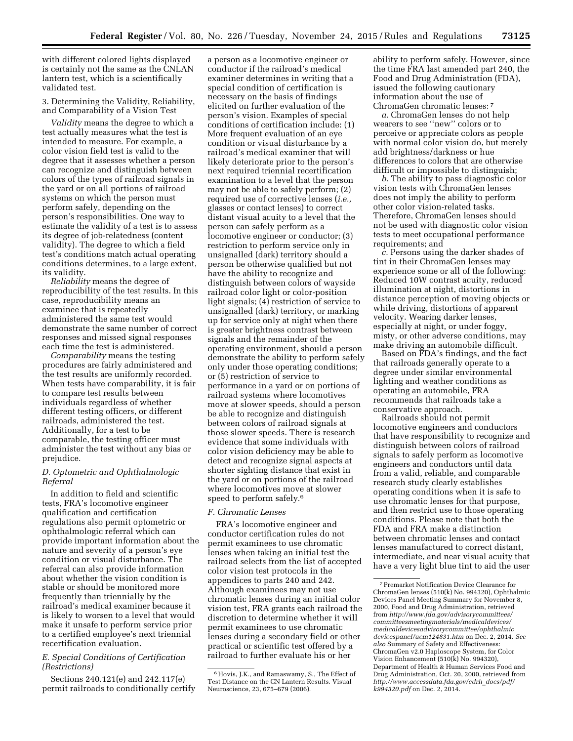with different colored lights displayed is certainly not the same as the CNLAN lantern test, which is a scientifically validated test.

3. Determining the Validity, Reliability, and Comparability of a Vision Test

*Validity* means the degree to which a test actually measures what the test is intended to measure. For example, a color vision field test is valid to the degree that it assesses whether a person can recognize and distinguish between colors of the types of railroad signals in the yard or on all portions of railroad systems on which the person must perform safely, depending on the person's responsibilities. One way to estimate the validity of a test is to assess its degree of job-relatedness (content validity). The degree to which a field test's conditions match actual operating conditions determines, to a large extent, its validity.

*Reliability* means the degree of reproducibility of the test results. In this case, reproducibility means an examinee that is repeatedly administered the same test would demonstrate the same number of correct responses and missed signal responses each time the test is administered.

*Comparability* means the testing procedures are fairly administered and the test results are uniformly recorded. When tests have comparability, it is fair to compare test results between individuals regardless of whether different testing officers, or different railroads, administered the test. Additionally, for a test to be comparable, the testing officer must administer the test without any bias or prejudice.

# *D. Optometric and Ophthalmologic Referral*

In addition to field and scientific tests, FRA's locomotive engineer qualification and certification regulations also permit optometric or ophthalmologic referral which can provide important information about the nature and severity of a person's eye condition or visual disturbance. The referral can also provide information about whether the vision condition is stable or should be monitored more frequently than triennially by the railroad's medical examiner because it is likely to worsen to a level that would make it unsafe to perform service prior to a certified employee's next triennial recertification evaluation.

## *E. Special Conditions of Certification (Restrictions)*

Sections 240.121(e) and 242.117(e) permit railroads to conditionally certify

a person as a locomotive engineer or conductor if the railroad's medical examiner determines in writing that a special condition of certification is necessary on the basis of findings elicited on further evaluation of the person's vision. Examples of special conditions of certification include: (1) More frequent evaluation of an eye condition or visual disturbance by a railroad's medical examiner that will likely deteriorate prior to the person's next required triennial recertification examination to a level that the person may not be able to safely perform; (2) required use of corrective lenses (*i.e.,*  glasses or contact lenses) to correct distant visual acuity to a level that the person can safely perform as a locomotive engineer or conductor; (3) restriction to perform service only in unsignalled (dark) territory should a person be otherwise qualified but not have the ability to recognize and distinguish between colors of wayside railroad color light or color-position light signals; (4) restriction of service to unsignalled (dark) territory, or marking up for service only at night when there is greater brightness contrast between signals and the remainder of the operating environment, should a person demonstrate the ability to perform safely only under those operating conditions; or (5) restriction of service to performance in a yard or on portions of railroad systems where locomotives move at slower speeds, should a person be able to recognize and distinguish between colors of railroad signals at those slower speeds. There is research evidence that some individuals with color vision deficiency may be able to detect and recognize signal aspects at shorter sighting distance that exist in the yard or on portions of the railroad where locomotives move at slower speed to perform safely.<sup>6</sup>

#### *F. Chromatic Lenses*

FRA's locomotive engineer and conductor certification rules do not permit examinees to use chromatic lenses when taking an initial test the railroad selects from the list of accepted color vision test protocols in the appendices to parts 240 and 242. Although examinees may not use chromatic lenses during an initial color vision test, FRA grants each railroad the discretion to determine whether it will permit examinees to use chromatic lenses during a secondary field or other practical or scientific test offered by a railroad to further evaluate his or her

ability to perform safely. However, since the time FRA last amended part 240, the Food and Drug Administration (FDA), issued the following cautionary information about the use of ChromaGen chromatic lenses: 7

*a.* ChromaGen lenses do not help wearers to see ''new'' colors or to perceive or appreciate colors as people with normal color vision do, but merely add brightness/darkness or hue differences to colors that are otherwise difficult or impossible to distinguish;

*b.* The ability to pass diagnostic color vision tests with ChromaGen lenses does not imply the ability to perform other color vision-related tasks. Therefore, ChromaGen lenses should not be used with diagnostic color vision tests to meet occupational performance requirements; and

*c.* Persons using the darker shades of tint in their ChromaGen lenses may experience some or all of the following: Reduced 10W contrast acuity, reduced illumination at night, distortions in distance perception of moving objects or while driving, distortions of apparent velocity. Wearing darker lenses, especially at night, or under foggy, misty, or other adverse conditions, may make driving an automobile difficult.

Based on FDA's findings, and the fact that railroads generally operate to a degree under similar environmental lighting and weather conditions as operating an automobile, FRA recommends that railroads take a conservative approach.

Railroads should not permit locomotive engineers and conductors that have responsibility to recognize and distinguish between colors of railroad signals to safely perform as locomotive engineers and conductors until data from a valid, reliable, and comparable research study clearly establishes operating conditions when it is safe to use chromatic lenses for that purpose, and then restrict use to those operating conditions. Please note that both the FDA and FRA make a distinction between chromatic lenses and contact lenses manufactured to correct distant, intermediate, and near visual acuity that have a very light blue tint to aid the user

<sup>6</sup>Hovis, J.K., and Ramaswamy, S., The Effect of Test Distance on the CN Lantern Results. Visual Neuroscience, 23, 675–679 (2006).

<sup>7</sup>Premarket Notification Device Clearance for ChromaGen lenses (510(k) No. 994320), Ophthalmic Devices Panel Meeting Summary for November 8, 2000, Food and Drug Administration, retrieved from *[http://www.fda.gov/advisorycommittees/](http://www.fda.gov/advisorycommittees/committeesmeetingmaterials/medicaldevices/medicaldevicesadvisorycommittee/ophthalmicdevicespanel/ucm124831.htm) [committeesmeetingmaterials/medicaldevices/](http://www.fda.gov/advisorycommittees/committeesmeetingmaterials/medicaldevices/medicaldevicesadvisorycommittee/ophthalmicdevicespanel/ucm124831.htm) [medicaldevicesadvisorycommittee/ophthalmic](http://www.fda.gov/advisorycommittees/committeesmeetingmaterials/medicaldevices/medicaldevicesadvisorycommittee/ophthalmicdevicespanel/ucm124831.htm) [devicespanel/ucm124831.htm](http://www.fda.gov/advisorycommittees/committeesmeetingmaterials/medicaldevices/medicaldevicesadvisorycommittee/ophthalmicdevicespanel/ucm124831.htm)* on Dec. 2, 2014. *See also* Summary of Safety and Effectiveness: ChromaGen v2.0 Haploscope System, for Color Vision Enhancement (510(k) No. 994320), Department of Health & Human Services Food and Drug Administration, Oct. 20, 2000, retrieved from *[http://www.accessdata.fda.gov/cdrh](http://www.accessdata.fda.gov/cdrh_docs/pdf/k994320.pdf)*\_*docs/pdf/ [k994320.pdf](http://www.accessdata.fda.gov/cdrh_docs/pdf/k994320.pdf)* on Dec. 2, 2014.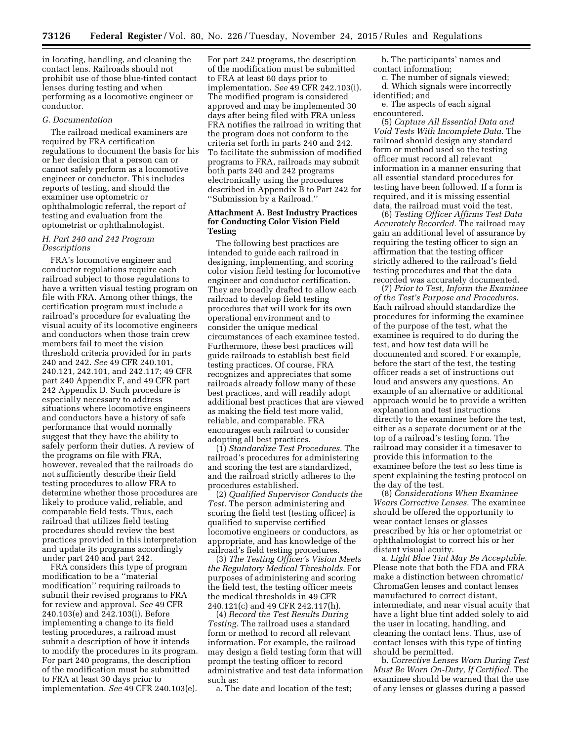in locating, handling, and cleaning the contact lens. Railroads should not prohibit use of those blue-tinted contact lenses during testing and when performing as a locomotive engineer or conductor.

#### *G. Documentation*

The railroad medical examiners are required by FRA certification regulations to document the basis for his or her decision that a person can or cannot safely perform as a locomotive engineer or conductor. This includes reports of testing, and should the examiner use optometric or ophthalmologic referral, the report of testing and evaluation from the optometrist or ophthalmologist.

# *H. Part 240 and 242 Program Descriptions*

FRA's locomotive engineer and conductor regulations require each railroad subject to those regulations to have a written visual testing program on file with FRA. Among other things, the certification program must include a railroad's procedure for evaluating the visual acuity of its locomotive engineers and conductors when those train crew members fail to meet the vision threshold criteria provided for in parts 240 and 242. *See* 49 CFR 240.101, 240.121, 242.101, and 242.117; 49 CFR part 240 Appendix F, and 49 CFR part 242 Appendix D. Such procedure is especially necessary to address situations where locomotive engineers and conductors have a history of safe performance that would normally suggest that they have the ability to safely perform their duties. A review of the programs on file with FRA, however, revealed that the railroads do not sufficiently describe their field testing procedures to allow FRA to determine whether those procedures are likely to produce valid, reliable, and comparable field tests. Thus, each railroad that utilizes field testing procedures should review the best practices provided in this interpretation and update its programs accordingly under part 240 and part 242.

FRA considers this type of program modification to be a ''material modification'' requiring railroads to submit their revised programs to FRA for review and approval. *See* 49 CFR 240.103(e) and 242.103(i). Before implementing a change to its field testing procedures, a railroad must submit a description of how it intends to modify the procedures in its program. For part 240 programs, the description of the modification must be submitted to FRA at least 30 days prior to implementation. *See* 49 CFR 240.103(e).

For part 242 programs, the description of the modification must be submitted to FRA at least 60 days prior to implementation. *See* 49 CFR 242.103(i). The modified program is considered approved and may be implemented 30 days after being filed with FRA unless FRA notifies the railroad in writing that the program does not conform to the criteria set forth in parts 240 and 242. To facilitate the submission of modified programs to FRA, railroads may submit both parts 240 and 242 programs electronically using the procedures described in Appendix B to Part 242 for ''Submission by a Railroad.''

## **Attachment A. Best Industry Practices for Conducting Color Vision Field Testing**

The following best practices are intended to guide each railroad in designing, implementing, and scoring color vision field testing for locomotive engineer and conductor certification. They are broadly drafted to allow each railroad to develop field testing procedures that will work for its own operational environment and to consider the unique medical circumstances of each examinee tested. Furthermore, these best practices will guide railroads to establish best field testing practices. Of course, FRA recognizes and appreciates that some railroads already follow many of these best practices, and will readily adopt additional best practices that are viewed as making the field test more valid, reliable, and comparable. FRA encourages each railroad to consider adopting all best practices.

(1) *Standardize Test Procedures.* The railroad's procedures for administering and scoring the test are standardized, and the railroad strictly adheres to the procedures established.

(2) *Qualified Supervisor Conducts the Test.* The person administering and scoring the field test (testing officer) is qualified to supervise certified locomotive engineers or conductors, as appropriate, and has knowledge of the railroad's field testing procedures.

(3) *The Testing Officer's Vision Meets the Regulatory Medical Thresholds.* For purposes of administering and scoring the field test, the testing officer meets the medical thresholds in 49 CFR 240.121(c) and 49 CFR 242.117(h).

(4) *Record the Test Results During Testing.* The railroad uses a standard form or method to record all relevant information. For example, the railroad may design a field testing form that will prompt the testing officer to record administrative and test data information such as:

a. The date and location of the test;

b. The participants' names and contact information;

c. The number of signals viewed; d. Which signals were incorrectly identified; and

e. The aspects of each signal encountered.

(5) *Capture All Essential Data and Void Tests With Incomplete Data.* The railroad should design any standard form or method used so the testing officer must record all relevant information in a manner ensuring that all essential standard procedures for testing have been followed. If a form is required, and it is missing essential data, the railroad must void the test.

(6) *Testing Officer Affirms Test Data Accurately Recorded.* The railroad may gain an additional level of assurance by requiring the testing officer to sign an affirmation that the testing officer strictly adhered to the railroad's field testing procedures and that the data recorded was accurately documented.

(7) *Prior to Test, Inform the Examinee of the Test's Purpose and Procedures.*  Each railroad should standardize the procedures for informing the examinee of the purpose of the test, what the examinee is required to do during the test, and how test data will be documented and scored. For example, before the start of the test, the testing officer reads a set of instructions out loud and answers any questions. An example of an alternative or additional approach would be to provide a written explanation and test instructions directly to the examinee before the test, either as a separate document or at the top of a railroad's testing form. The railroad may consider it a timesaver to provide this information to the examinee before the test so less time is spent explaining the testing protocol on the day of the test.

(8) *Considerations When Examinee Wears Corrective Lenses.* The examinee should be offered the opportunity to wear contact lenses or glasses prescribed by his or her optometrist or ophthalmologist to correct his or her distant visual acuity.

a. *Light Blue Tint May Be Acceptable.*  Please note that both the FDA and FRA make a distinction between chromatic/ ChromaGen lenses and contact lenses manufactured to correct distant, intermediate, and near visual acuity that have a light blue tint added solely to aid the user in locating, handling, and cleaning the contact lens. Thus, use of contact lenses with this type of tinting should be permitted.

b. *Corrective Lenses Worn During Test Must Be Worn On-Duty, If Certified.* The examinee should be warned that the use of any lenses or glasses during a passed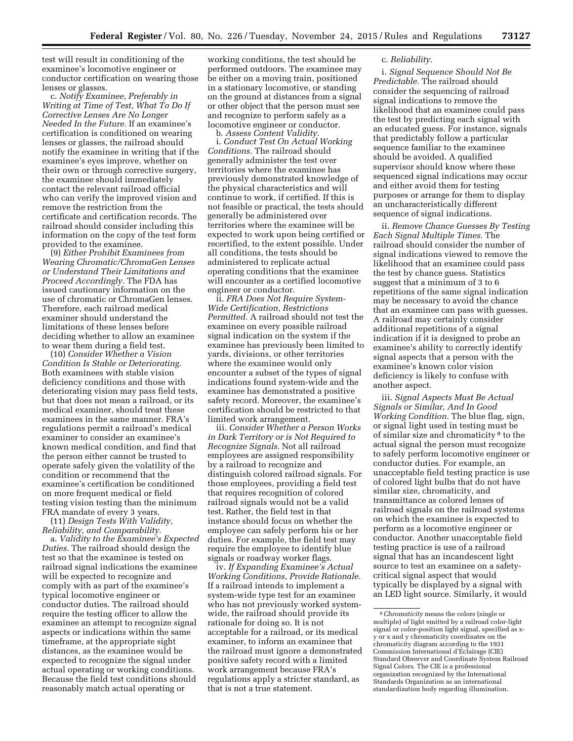test will result in conditioning of the examinee's locomotive engineer or conductor certification on wearing those lenses or glasses.

c. *Notify Examinee, Preferably in Writing at Time of Test, What To Do If Corrective Lenses Are No Longer Needed In the Future.* If an examinee's certification is conditioned on wearing lenses or glasses, the railroad should notify the examinee in writing that if the examinee's eyes improve, whether on their own or through corrective surgery, the examinee should immediately contact the relevant railroad official who can verify the improved vision and remove the restriction from the certificate and certification records. The railroad should consider including this information on the copy of the test form provided to the examinee.

(9) *Either Prohibit Examinees from Wearing Chromatic/ChromaGen Lenses or Understand Their Limitations and Proceed Accordingly.* The FDA has issued cautionary information on the use of chromatic or ChromaGen lenses. Therefore, each railroad medical examiner should understand the limitations of these lenses before deciding whether to allow an examinee to wear them during a field test.

(10) *Consider Whether a Vision Condition Is Stable or Deteriorating.*  Both examinees with stable vision deficiency conditions and those with deteriorating vision may pass field tests, but that does not mean a railroad, or its medical examiner, should treat these examinees in the same manner. FRA's regulations permit a railroad's medical examiner to consider an examinee's known medical condition, and find that the person either cannot be trusted to operate safely given the volatility of the condition or recommend that the examinee's certification be conditioned on more frequent medical or field testing vision testing than the minimum FRA mandate of every 3 years.

(11) *Design Tests With Validity, Reliability, and Comparability.*  a. *Validity to the Examinee's Expected Duties.* The railroad should design the test so that the examinee is tested on railroad signal indications the examinee will be expected to recognize and comply with as part of the examinee's typical locomotive engineer or conductor duties. The railroad should require the testing officer to allow the examinee an attempt to recognize signal aspects or indications within the same timeframe, at the appropriate sight distances, as the examinee would be expected to recognize the signal under actual operating or working conditions. Because the field test conditions should reasonably match actual operating or

working conditions, the test should be performed outdoors. The examinee may be either on a moving train, positioned in a stationary locomotive, or standing on the ground at distances from a signal or other object that the person must see and recognize to perform safely as a locomotive engineer or conductor.

b. *Assess Content Validity.*  i. *Conduct Test On Actual Working Conditions.* The railroad should generally administer the test over territories where the examinee has previously demonstrated knowledge of the physical characteristics and will continue to work, if certified. If this is not feasible or practical, the tests should generally be administered over territories where the examinee will be expected to work upon being certified or recertified, to the extent possible. Under all conditions, the tests should be administered to replicate actual operating conditions that the examinee will encounter as a certified locomotive engineer or conductor.

ii. *FRA Does Not Require System-Wide Certification, Restrictions Permitted.* A railroad should not test the examinee on every possible railroad signal indication on the system if the examinee has previously been limited to yards, divisions, or other territories where the examinee would only encounter a subset of the types of signal indications found system-wide and the examinee has demonstrated a positive safety record. Moreover, the examinee's certification should be restricted to that limited work arrangement.

iii. *Consider Whether a Person Works in Dark Territory or is Not Required to Recognize Signals.* Not all railroad employees are assigned responsibility by a railroad to recognize and distinguish colored railroad signals. For those employees, providing a field test that requires recognition of colored railroad signals would not be a valid test. Rather, the field test in that instance should focus on whether the employee can safely perform his or her duties. For example, the field test may require the employee to identify blue signals or roadway worker flags.

iv. *If Expanding Examinee's Actual Working Conditions, Provide Rationale.*  If a railroad intends to implement a system-wide type test for an examinee who has not previously worked systemwide, the railroad should provide its rationale for doing so. It is not acceptable for a railroad, or its medical examiner, to inform an examinee that the railroad must ignore a demonstrated positive safety record with a limited work arrangement because FRA's regulations apply a stricter standard, as that is not a true statement.

## c. *Reliability.*

i. *Signal Sequence Should Not Be Predictable.* The railroad should consider the sequencing of railroad signal indications to remove the likelihood that an examinee could pass the test by predicting each signal with an educated guess. For instance, signals that predictably follow a particular sequence familiar to the examinee should be avoided. A qualified supervisor should know where these sequenced signal indications may occur and either avoid them for testing purposes or arrange for them to display an uncharacteristically different sequence of signal indications.

ii. *Remove Chance Guesses By Testing Each Signal Multiple Times.* The railroad should consider the number of signal indications viewed to remove the likelihood that an examinee could pass the test by chance guess. Statistics suggest that a minimum of 3 to 6 repetitions of the same signal indication may be necessary to avoid the chance that an examinee can pass with guesses. A railroad may certainly consider additional repetitions of a signal indication if it is designed to probe an examinee's ability to correctly identify signal aspects that a person with the examinee's known color vision deficiency is likely to confuse with another aspect.

iii. *Signal Aspects Must Be Actual Signals or Similar, And In Good Working Condition.* The blue flag, sign, or signal light used in testing must be of similar size and chromaticity 8 to the actual signal the person must recognize to safely perform locomotive engineer or conductor duties. For example, an unacceptable field testing practice is use of colored light bulbs that do not have similar size, chromaticity, and transmittance as colored lenses of railroad signals on the railroad systems on which the examinee is expected to perform as a locomotive engineer or conductor. Another unacceptable field testing practice is use of a railroad signal that has an incandescent light source to test an examinee on a safetycritical signal aspect that would typically be displayed by a signal with an LED light source. Similarly, it would

<sup>8</sup>*Chromaticity* means the colors (single or multiple) of light emitted by a railroad color-light signal or color-position light signal, specified as xy or x and y chromaticity coordinates on the chromaticity diagram according to the 1931 Commission International d'Éclairage (CIE) Standard Observer and Coordinate System Railroad Signal Colors. The CIE is a professional organization recognized by the International Standards Organization as an international standardization body regarding illumination.